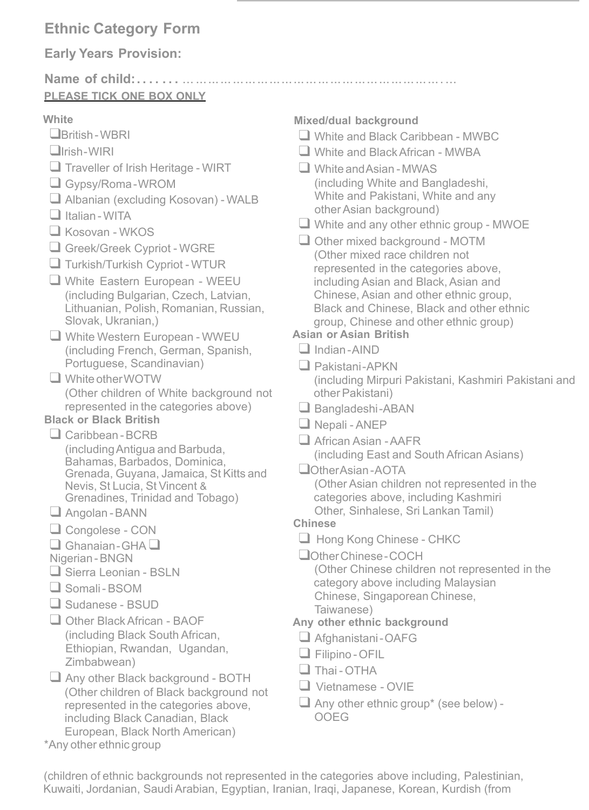# **Ethnic Category Form**

## **Early Years Provision:**

#### **Name of child:. . . . . . .** ... ................................................................ **PLEASE TICK ONE BOX ONLY**

#### **White**

- ❑British -WBRI
- ❑Irish-WIRI
- □ Traveller of Irish Heritage WIRT
- ❑ Gypsy/Roma-WROM
- □ Albanian (excluding Kosovan) WALB
- ❑ Italian -WITA
- ❑ Kosovan WKOS
- ❑ Greek/Greek Cypriot WGRE
- ❑ Turkish/Turkish Cypriot WTUR
- ❑ White Eastern European WEEU (including Bulgarian, Czech, Latvian, Lithuanian, Polish, Romanian, Russian, Slovak, Ukranian,)
- ❑ White Western European WWEU (including French, German, Spanish, Portuguese, Scandinavian)
- ❑ WhiteotherWOTW (Other children of White background not represented in the categories above) **Black or Black British**

#### ❑ Caribbean -BCRB

- (includingAntigua and Barbuda, Bahamas, Barbados, Dominica, Grenada, Guyana, Jamaica, St Kitts and Nevis, St Lucia, St Vincent & Grenadines, Trinidad and Tobago)
- ❑ Angolan -BANN
- ❑ Congolese CON
- ❑ Ghanaian-GHA ❑
- Nigerian-BNGN
- ❑ Sierra Leonian BSLN
- ❑ Somali- BSOM
- ❑ Sudanese BSUD
- ❑ Other BlackAfrican BAOF (including Black South African, Ethiopian, Rwandan, Ugandan, Zimbabwean)
- Any other Black background BOTH (Other children of Black background not represented in the categories above, including Black Canadian, Black European, Black North American)
- \*Any other ethnic group

#### **Mixed/dual background**

- ❑ White and Black Caribbean MWBC
- ❑ White and BlackAfrican MWBA
- ❑ White andAsian -MWAS (including White and Bangladeshi, White and Pakistani, White and any other Asian background)
- ❑ White and any other ethnic group MWOE
- Other mixed background MOTM (Other mixed race children not represented in the categories above, including Asian and Black, Asian and Chinese, Asian and other ethnic group, Black and Chinese, Black and other ethnic group, Chinese and other ethnic group)

#### **Asian or Asian British**

- ❑ Indian-AIND
- ❑ Pakistani-APKN (including Mirpuri Pakistani, Kashmiri Pakistani and other Pakistani)
- ❑ Bangladeshi-ABAN
- ❑ Nepali ANEP
- ❑ African Asian -AAFR
	- (including East and South African Asians)
- ❑OtherAsian-AOTA

(Other Asian children not represented in the categories above, including Kashmiri Other, Sinhalese, Sri Lankan Tamil)

#### **Chinese**

- ❑ Hong Kong Chinese CHKC
- ❑OtherChinese-COCH

(Other Chinese children not represented in the category above including Malaysian Chinese, Singaporean Chinese, Taiwanese)

### **Any other ethnic background**

- ❑ Afghanistani-OAFG
- ❑ Filipino -OFIL
- $\Box$  Thai OTHA
- ❑ Vietnamese OVIE
- $\Box$  Any other ethnic group\* (see below) -OOEG

(children of ethnic backgrounds not represented in the categories above including, Palestinian, Kuwaiti, Jordanian, Saudi Arabian, Egyptian, Iranian, Iraqi, Japanese, Korean, Kurdish (from